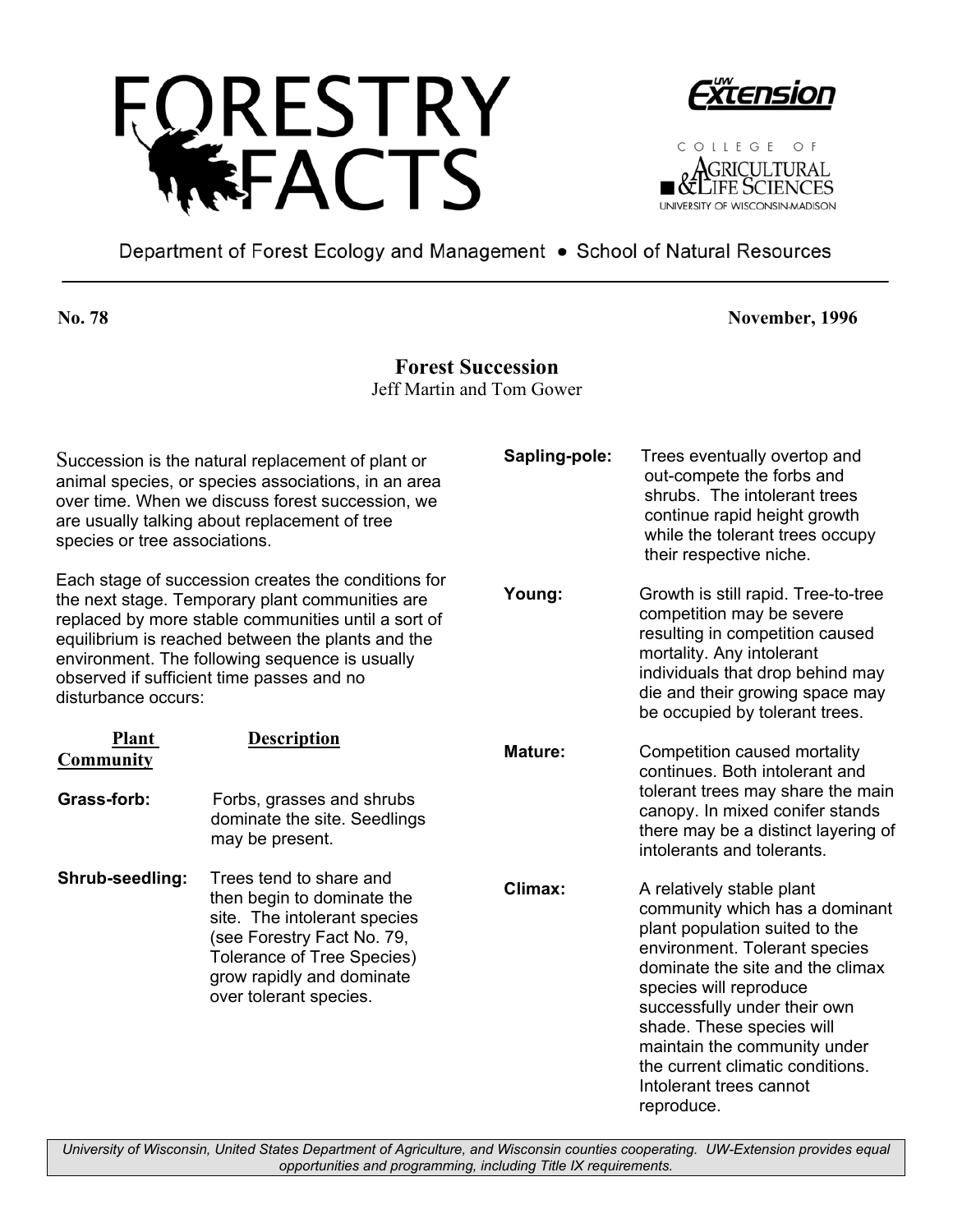





Department of Forest Ecology and Management . School of Natural Resources

**No. 78 November, 1996** 

## **Forest Succession**

Jeff Martin and Tom Gower

| Succession is the natural replacement of plant or<br>animal species, or species associations, in an area<br>over time. When we discuss forest succession, we<br>are usually talking about replacement of tree<br>species or tree associations.                                                                                           |                                                                                                                                                                                                                 | Sapling-pole:  | Trees eventually overtop and<br>out-compete the forbs and<br>shrubs. The intolerant trees<br>continue rapid height growth<br>while the tolerant trees occupy<br>their respective niche.                                                                                                                                                                                |
|------------------------------------------------------------------------------------------------------------------------------------------------------------------------------------------------------------------------------------------------------------------------------------------------------------------------------------------|-----------------------------------------------------------------------------------------------------------------------------------------------------------------------------------------------------------------|----------------|------------------------------------------------------------------------------------------------------------------------------------------------------------------------------------------------------------------------------------------------------------------------------------------------------------------------------------------------------------------------|
| Each stage of succession creates the conditions for<br>the next stage. Temporary plant communities are<br>replaced by more stable communities until a sort of<br>equilibrium is reached between the plants and the<br>environment. The following sequence is usually<br>observed if sufficient time passes and no<br>disturbance occurs: |                                                                                                                                                                                                                 | Young:         | Growth is still rapid. Tree-to-tree<br>competition may be severe<br>resulting in competition caused<br>mortality. Any intolerant<br>individuals that drop behind may<br>die and their growing space may<br>be occupied by tolerant trees.                                                                                                                              |
| <b>Plant</b><br>Community                                                                                                                                                                                                                                                                                                                | <b>Description</b>                                                                                                                                                                                              | <b>Mature:</b> | Competition caused mortality<br>continues. Both intolerant and<br>tolerant trees may share the main<br>canopy. In mixed conifer stands<br>there may be a distinct layering of<br>intolerants and tolerants.                                                                                                                                                            |
| Grass-forb:                                                                                                                                                                                                                                                                                                                              | Forbs, grasses and shrubs<br>dominate the site. Seedlings<br>may be present.                                                                                                                                    |                |                                                                                                                                                                                                                                                                                                                                                                        |
| Shrub-seedling:                                                                                                                                                                                                                                                                                                                          | Trees tend to share and<br>then begin to dominate the<br>site. The intolerant species<br>(see Forestry Fact No. 79,<br><b>Tolerance of Tree Species)</b><br>grow rapidly and dominate<br>over tolerant species. | Climax:        | A relatively stable plant<br>community which has a dominant<br>plant population suited to the<br>environment. Tolerant species<br>dominate the site and the climax<br>species will reproduce<br>successfully under their own<br>shade. These species will<br>maintain the community under<br>the current climatic conditions.<br>Intolerant trees cannot<br>reproduce. |

*University of Wisconsin, United States Department of Agriculture, and Wisconsin counties cooperating. UW-Extension provides equal opportunities and programming, including Title IX requirements.*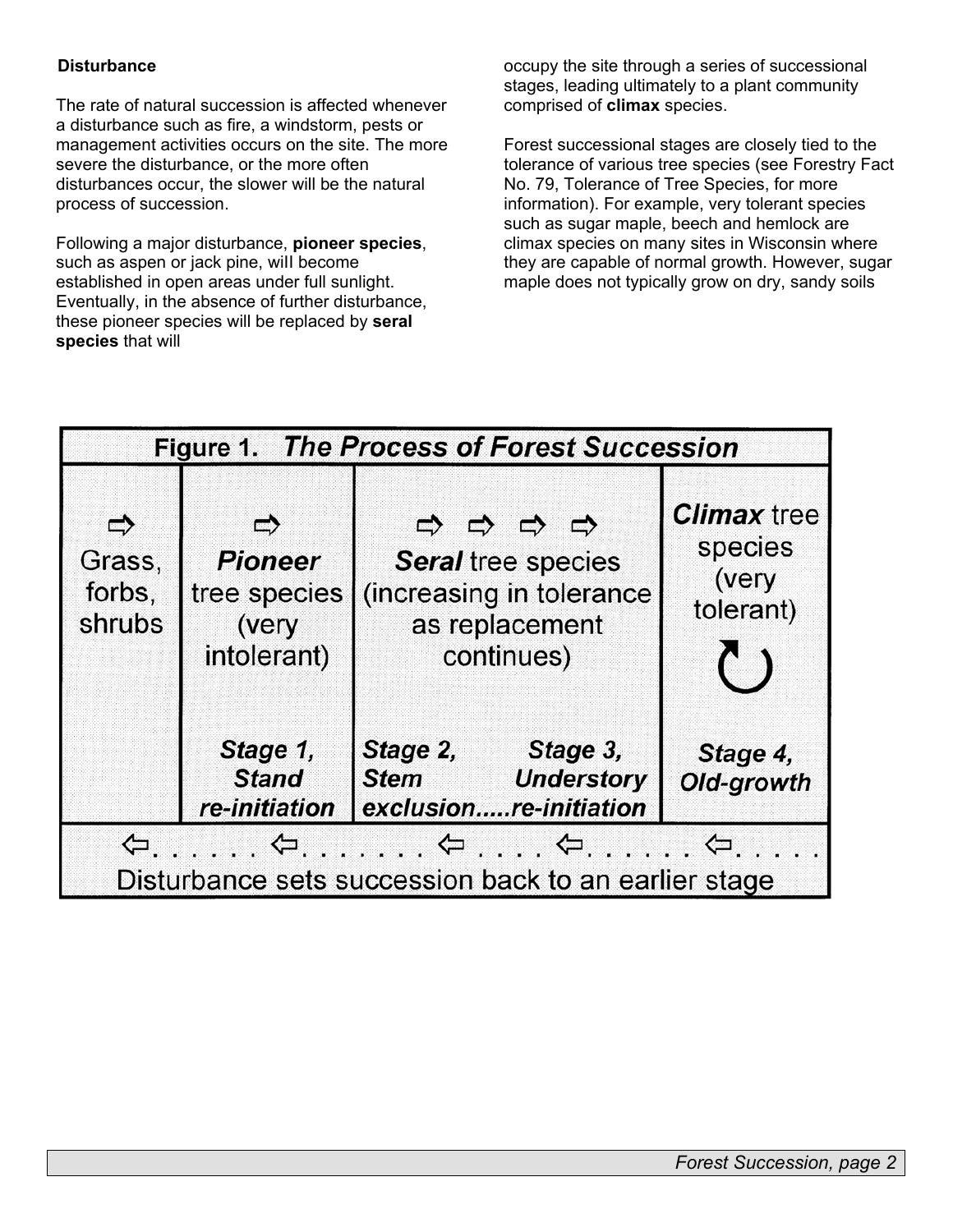#### **Disturbance**

The rate of natural succession is affected whenever a disturbance such as fire, a windstorm, pests or management activities occurs on the site. The more severe the disturbance, or the more often disturbances occur, the slower will be the natural process of succession.

Following a major disturbance, **pioneer species**, such as aspen or jack pine, wiII become established in open areas under full sunlight. Eventually, in the absence of further disturbance, these pioneer species will be replaced by **seral species** that will

occupy the site through a series of successional stages, leading ultimately to a plant community comprised of **climax** species.

Forest successional stages are closely tied to the tolerance of various tree species (see Forestry Fact No. 79, Tolerance of Tree Species, for more information). For example, very tolerant species such as sugar maple, beech and hemlock are climax species on many sites in Wisconsin where they are capable of normal growth. However, sugar maple does not typically grow on dry, sandy soils

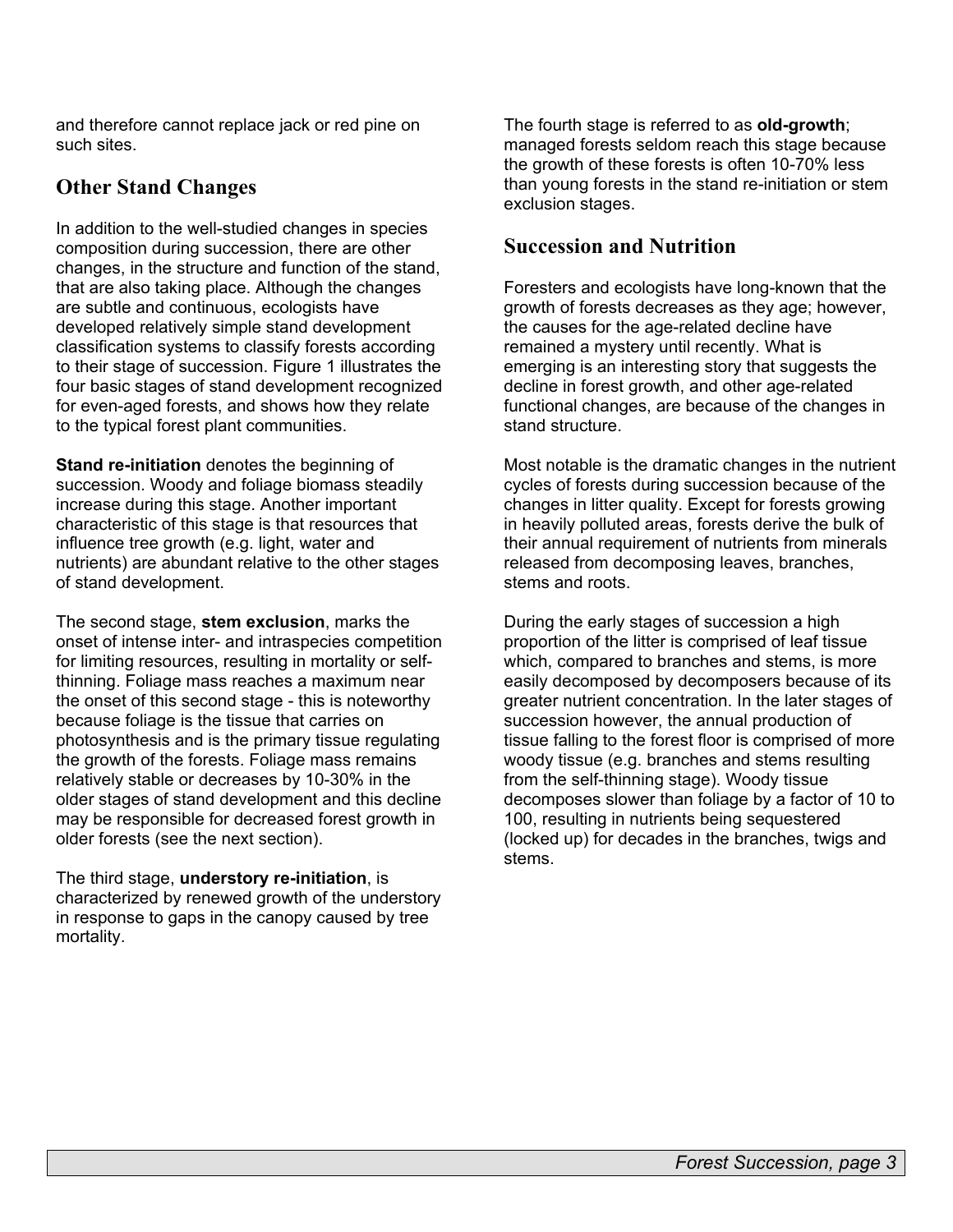and therefore cannot replace jack or red pine on such sites.

# **Other Stand Changes**

In addition to the well-studied changes in species composition during succession, there are other changes, in the structure and function of the stand, that are also taking place. Although the changes are subtle and continuous, ecologists have developed relatively simple stand development classification systems to classify forests according to their stage of succession. Figure 1 illustrates the four basic stages of stand development recognized for even-aged forests, and shows how they relate to the typical forest plant communities.

**Stand re-initiation** denotes the beginning of succession. Woody and foliage biomass steadily increase during this stage. Another important characteristic of this stage is that resources that influence tree growth (e.g. light, water and nutrients) are abundant relative to the other stages of stand development.

The second stage, **stem exclusion**, marks the onset of intense inter- and intraspecies competition for limiting resources, resulting in mortality or selfthinning. Foliage mass reaches a maximum near the onset of this second stage - this is noteworthy because foliage is the tissue that carries on photosynthesis and is the primary tissue regulating the growth of the forests. Foliage mass remains relatively stable or decreases by 10-30% in the older stages of stand development and this decline may be responsible for decreased forest growth in older forests (see the next section).

The third stage, **understory re-initiation**, is characterized by renewed growth of the understory in response to gaps in the canopy caused by tree mortality.

The fourth stage is referred to as **old-growth**; managed forests seldom reach this stage because the growth of these forests is often 10-70% less than young forests in the stand re-initiation or stem exclusion stages.

# **Succession and Nutrition**

Foresters and ecologists have long-known that the growth of forests decreases as they age; however, the causes for the age-related decline have remained a mystery until recently. What is emerging is an interesting story that suggests the decline in forest growth, and other age-related functional changes, are because of the changes in stand structure.

Most notable is the dramatic changes in the nutrient cycles of forests during succession because of the changes in litter quality. Except for forests growing in heavily polluted areas, forests derive the bulk of their annual requirement of nutrients from minerals released from decomposing leaves, branches, stems and roots.

During the early stages of succession a high proportion of the litter is comprised of leaf tissue which, compared to branches and stems, is more easily decomposed by decomposers because of its greater nutrient concentration. In the later stages of succession however, the annual production of tissue falling to the forest floor is comprised of more woody tissue (e.g. branches and stems resulting from the self-thinning stage). Woody tissue decomposes slower than foliage by a factor of 10 to 100, resulting in nutrients being sequestered (locked up) for decades in the branches, twigs and stems.